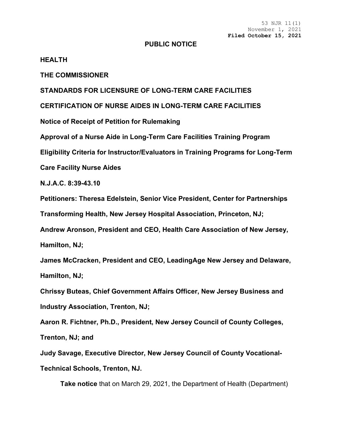53 NJR 11(1) November 1, 2021 **Filed October 15, 2021**

## **PUBLIC NOTICE**

## **HEALTH**

**THE COMMISSIONER**

**STANDARDS FOR LICENSURE OF LONG-TERM CARE FACILITIES**

**CERTIFICATION OF NURSE AIDES IN LONG-TERM CARE FACILITIES**

**Notice of Receipt of Petition for Rulemaking**

**Approval of a Nurse Aide in Long-Term Care Facilities Training Program**

**Eligibility Criteria for Instructor/Evaluators in Training Programs for Long-Term** 

**Care Facility Nurse Aides**

**N.J.A.C. 8:39-43.10**

**Petitioners: Theresa Edelstein, Senior Vice President, Center for Partnerships** 

**Transforming Health, New Jersey Hospital Association, Princeton, NJ;**

**Andrew Aronson, President and CEO, Health Care Association of New Jersey, Hamilton, NJ;**

**James McCracken, President and CEO, LeadingAge New Jersey and Delaware, Hamilton, NJ;**

**Chrissy Buteas, Chief Government Affairs Officer, New Jersey Business and Industry Association, Trenton, NJ;**

**Aaron R. Fichtner, Ph.D., President, New Jersey Council of County Colleges,**

**Trenton, NJ; and**

**Judy Savage, Executive Director, New Jersey Council of County Vocational-Technical Schools, Trenton, NJ.**

**Take notice** that on March 29, 2021, the Department of Health (Department)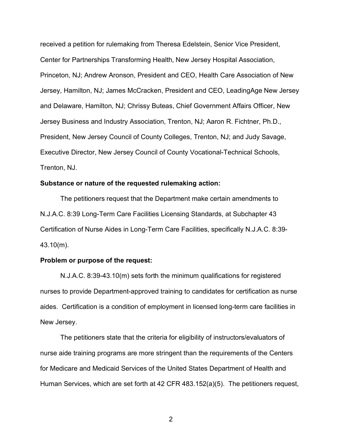received a petition for rulemaking from Theresa Edelstein, Senior Vice President, Center for Partnerships Transforming Health, New Jersey Hospital Association, Princeton, NJ; Andrew Aronson, President and CEO, Health Care Association of New Jersey, Hamilton, NJ; James McCracken, President and CEO, LeadingAge New Jersey and Delaware, Hamilton, NJ; Chrissy Buteas, Chief Government Affairs Officer, New Jersey Business and Industry Association, Trenton, NJ; Aaron R. Fichtner, Ph.D., President, New Jersey Council of County Colleges, Trenton, NJ; and Judy Savage, Executive Director, New Jersey Council of County Vocational-Technical Schools, Trenton, NJ.

## **Substance or nature of the requested rulemaking action:**

The petitioners request that the Department make certain amendments to N.J.A.C. 8:39 Long-Term Care Facilities Licensing Standards, at Subchapter 43 Certification of Nurse Aides in Long-Term Care Facilities, specifically N.J.A.C. 8:39- 43.10(m).

## **Problem or purpose of the request:**

N.J.A.C. 8:39-43.10(m) sets forth the minimum qualifications for registered nurses to provide Department-approved training to candidates for certification as nurse aides. Certification is a condition of employment in licensed long-term care facilities in New Jersey.

The petitioners state that the criteria for eligibility of instructors/evaluators of nurse aide training programs are more stringent than the requirements of the Centers for Medicare and Medicaid Services of the United States Department of Health and Human Services, which are set forth at 42 CFR 483.152(a)(5). The petitioners request,

2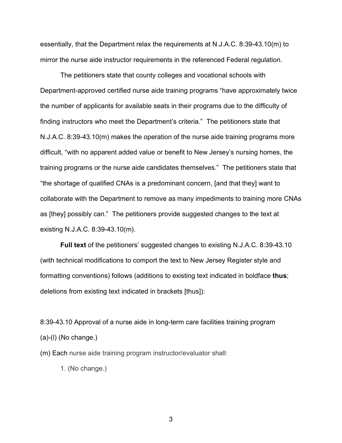essentially, that the Department relax the requirements at N.J.A.C. 8:39-43.10(m) to mirror the nurse aide instructor requirements in the referenced Federal regulation.

The petitioners state that county colleges and vocational schools with Department-approved certified nurse aide training programs "have approximately twice the number of applicants for available seats in their programs due to the difficulty of finding instructors who meet the Department's criteria." The petitioners state that N.J.A.C. 8:39-43.10(m) makes the operation of the nurse aide training programs more difficult, "with no apparent added value or benefit to New Jersey's nursing homes, the training programs or the nurse aide candidates themselves." The petitioners state that "the shortage of qualified CNAs is a predominant concern, [and that they] want to collaborate with the Department to remove as many impediments to training more CNAs as [they] possibly can." The petitioners provide suggested changes to the text at existing N.J.A.C. 8:39-43.10(m).

**Full text** of the petitioners' suggested changes to existing N.J.A.C. 8:39-43.10 (with technical modifications to comport the text to New Jersey Register style and formatting conventions) follows (additions to existing text indicated in boldface **thus**; deletions from existing text indicated in brackets [thus]):

8:39-43.10 Approval of a nurse aide in long-term care facilities training program (a)-(l) (No change.)

(m) Each nurse aide training program instructor/evaluator shall:

1. (No change.)

3